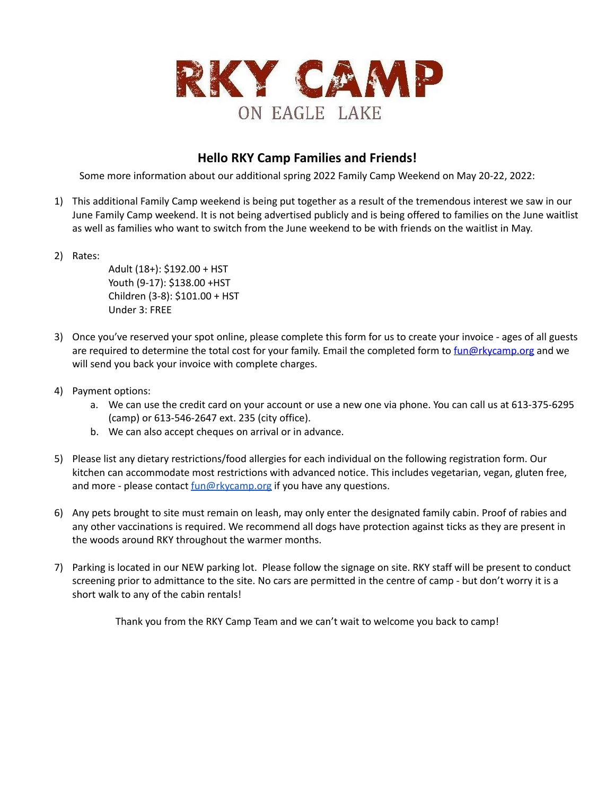

## **Hello RKY Camp Families and Friends!**

Some more information about our additional spring 2022 Family Camp Weekend on May 20-22, 2022:

- 1) This additional Family Camp weekend is being put together as a result of the tremendous interest we saw in our June Family Camp weekend. It is not being advertised publicly and is being offered to families on the June waitlist as well as families who want to switch from the June weekend to be with friends on the waitlist in May.
- 2) Rates:

Adult (18+): \$192.00 + HST Youth (9-17): \$138.00 +HST Children (3-8): \$101.00 + HST Under 3: FREE

- 3) Once you've reserved your spot online, please complete this form for us to create your invoice ages of all guests are required to determine the total cost for your family. Email the completed form to [fun@rkycamp.org](mailto:fun@rkycamp.org) and we will send you back your invoice with complete charges.
- 4) Payment options:
	- a. We can use the credit card on your account or use a new one via phone. You can call us at 613-375-6295 (camp) or 613-546-2647 ext. 235 (city office).
	- b. We can also accept cheques on arrival or in advance.
- 5) Please list any dietary restrictions/food allergies for each individual on the following registration form. Our kitchen can accommodate most restrictions with advanced notice. This includes vegetarian, vegan, gluten free, and more - please contact [fun@rkycamp.org](mailto:fun@rkycamp.org) if you have any questions.
- 6) Any pets brought to site must remain on leash, may only enter the designated family cabin. Proof of rabies and any other vaccinations is required. We recommend all dogs have protection against ticks as they are present in the woods around RKY throughout the warmer months.
- 7) Parking is located in our NEW parking lot. Please follow the signage on site. RKY staff will be present to conduct screening prior to admittance to the site. No cars are permitted in the centre of camp - but don't worry it is a short walk to any of the cabin rentals!

Thank you from the RKY Camp Team and we can't wait to welcome you back to camp!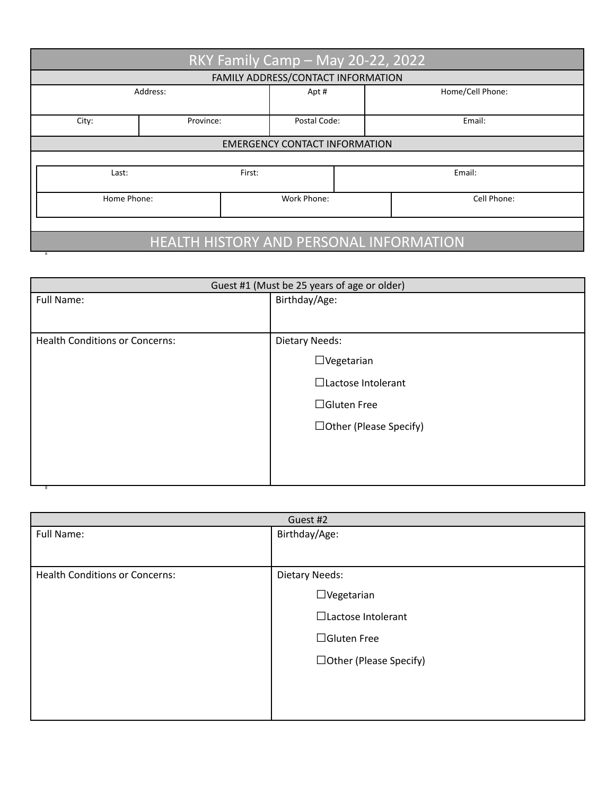| RKY Family Camp - May 20-22, 2022              |           |              |                  |
|------------------------------------------------|-----------|--------------|------------------|
| FAMILY ADDRESS/CONTACT INFORMATION             |           |              |                  |
|                                                | Address:  | Apt#         | Home/Cell Phone: |
| City:                                          | Province: | Postal Code: | Email:           |
| <b>EMERGENCY CONTACT INFORMATION</b>           |           |              |                  |
|                                                |           |              |                  |
| Last:                                          | First:    |              | Email:           |
| Home Phone:                                    |           | Work Phone:  | Cell Phone:      |
|                                                |           |              |                  |
| <b>HEALTH HISTORY AND PERSONAL INFORMATION</b> |           |              |                  |

| Guest #1 (Must be 25 years of age or older) |  |
|---------------------------------------------|--|
| Birthday/Age:                               |  |
|                                             |  |
| <b>Dietary Needs:</b>                       |  |
| $\Box$ Vegetarian                           |  |
| $\Box$ Lactose Intolerant                   |  |
| $\Box$ Gluten Free                          |  |
| $\Box$ Other (Please Specify)               |  |
|                                             |  |
|                                             |  |
|                                             |  |

| Guest #2                              |                          |
|---------------------------------------|--------------------------|
| Full Name:                            | Birthday/Age:            |
|                                       |                          |
| <b>Health Conditions or Concerns:</b> | <b>Dietary Needs:</b>    |
|                                       | $\Box$ Vegetarian        |
|                                       | □Lactose Intolerant      |
|                                       | $\Box$ Gluten Free       |
|                                       | □ Other (Please Specify) |
|                                       |                          |
|                                       |                          |
|                                       |                          |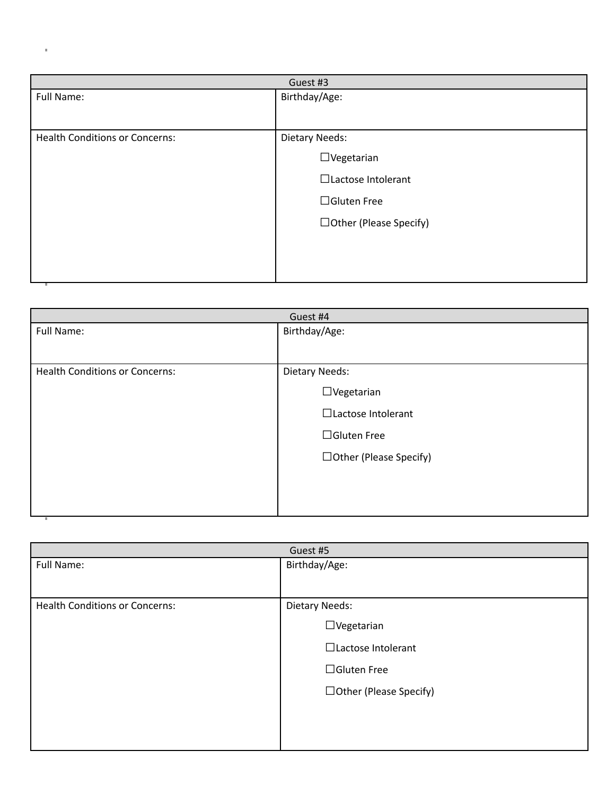| Guest #3                              |                               |
|---------------------------------------|-------------------------------|
| Full Name:                            | Birthday/Age:                 |
|                                       |                               |
| <b>Health Conditions or Concerns:</b> | <b>Dietary Needs:</b>         |
|                                       | $\Box$ Vegetarian             |
|                                       | □Lactose Intolerant           |
|                                       | $\Box$ Gluten Free            |
|                                       | $\Box$ Other (Please Specify) |
|                                       |                               |
|                                       |                               |
|                                       |                               |

t

| Guest #4                              |                               |
|---------------------------------------|-------------------------------|
| Full Name:                            | Birthday/Age:                 |
|                                       |                               |
| <b>Health Conditions or Concerns:</b> | <b>Dietary Needs:</b>         |
|                                       | $\Box$ Vegetarian             |
|                                       | □Lactose Intolerant           |
|                                       | $\Box$ Gluten Free            |
|                                       | $\Box$ Other (Please Specify) |
|                                       |                               |
|                                       |                               |
|                                       |                               |

| Guest #5                              |                               |
|---------------------------------------|-------------------------------|
| Full Name:                            | Birthday/Age:                 |
|                                       |                               |
| <b>Health Conditions or Concerns:</b> | <b>Dietary Needs:</b>         |
|                                       | $\Box$ Vegetarian             |
|                                       | □Lactose Intolerant           |
|                                       | $\Box$ Gluten Free            |
|                                       | $\Box$ Other (Please Specify) |
|                                       |                               |
|                                       |                               |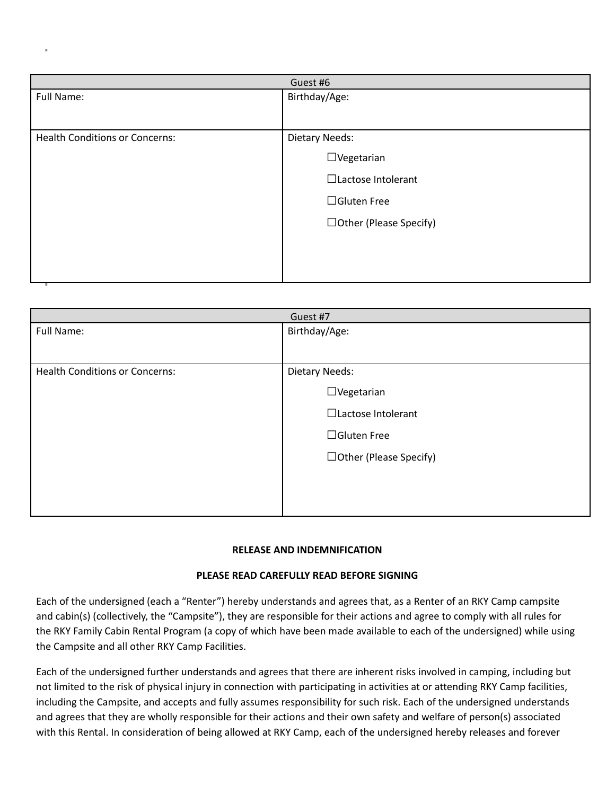| Guest #6                              |                               |
|---------------------------------------|-------------------------------|
| Full Name:                            | Birthday/Age:                 |
|                                       |                               |
| <b>Health Conditions or Concerns:</b> | <b>Dietary Needs:</b>         |
|                                       | $\Box$ Vegetarian             |
|                                       | □Lactose Intolerant           |
|                                       | $\Box$ Gluten Free            |
|                                       | $\Box$ Other (Please Specify) |
|                                       |                               |
|                                       |                               |

| Guest #7                              |                               |
|---------------------------------------|-------------------------------|
| Full Name:                            | Birthday/Age:                 |
|                                       |                               |
| <b>Health Conditions or Concerns:</b> | <b>Dietary Needs:</b>         |
|                                       | $\Box$ Vegetarian             |
|                                       | □Lactose Intolerant           |
|                                       | $\Box$ Gluten Free            |
|                                       | $\Box$ Other (Please Specify) |
|                                       |                               |
|                                       |                               |

## **RELEASE AND INDEMNIFICATION**

## **PLEASE READ CAREFULLY READ BEFORE SIGNING**

Each of the undersigned (each a "Renter") hereby understands and agrees that, as a Renter of an RKY Camp campsite and cabin(s) (collectively, the "Campsite"), they are responsible for their actions and agree to comply with all rules for the RKY Family Cabin Rental Program (a copy of which have been made available to each of the undersigned) while using the Campsite and all other RKY Camp Facilities.

Each of the undersigned further understands and agrees that there are inherent risks involved in camping, including but not limited to the risk of physical injury in connection with participating in activities at or attending RKY Camp facilities, including the Campsite, and accepts and fully assumes responsibility for such risk. Each of the undersigned understands and agrees that they are wholly responsible for their actions and their own safety and welfare of person(s) associated with this Rental. In consideration of being allowed at RKY Camp, each of the undersigned hereby releases and forever